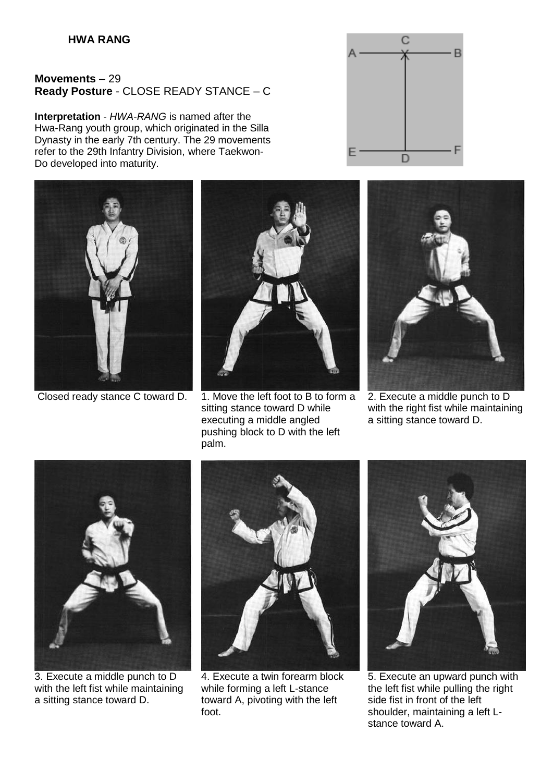## **Movements** – 29 **Ready Posture** - CLOSE READY STANCE – C

**Interpretation** - *HWA-RANG* is named after the Hwa-Rang youth group, which originated in the Silla Dynasty in the early 7th century. The 29 movements refer to the 29th Infantry Division, where Taekwon-Do developed into maturity.





Closed ready stance C toward D. 1. Move the left foot to B to form a sitting stance toward D while executing a middle angled pushing block to D with the left palm.





2. Execute a middle punch to D with the right fist while maintaining a sitting stance toward D.



3. Execute a middle punch to D with the left fist while maintaining a sitting stance toward D.



4. Execute a twin forearm block while forming a left L-stance toward A, pivoting with the left foot.



5. Execute an upward punch with the left fist while pulling the right side fist in front of the left shoulder, maintaining a left Lstance toward A.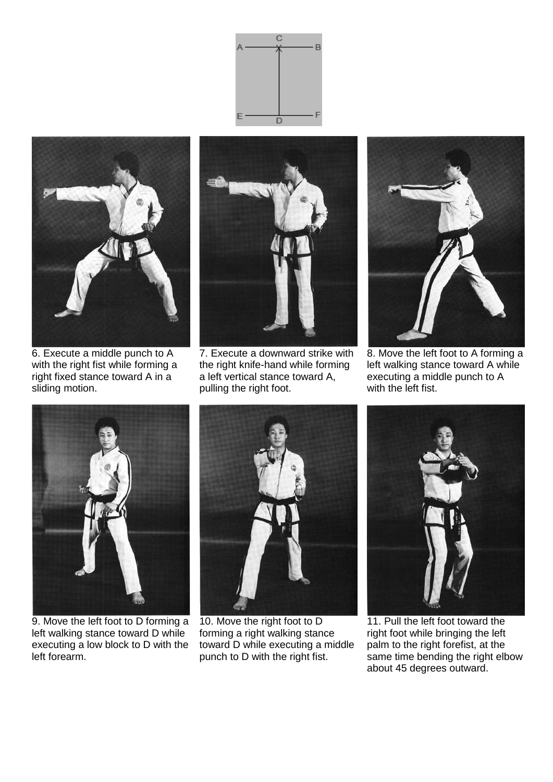



6. Execute a middle punch to A with the right fist while forming a right fixed stance toward A in a sliding motion.



7. Execute a downward strike with the right knife-hand while forming a left vertical stance toward A, pulling the right foot.



8. Move the left foot to A forming a left walking stance toward A while executing a middle punch to A with the left fist.



9. Move the left foot to D forming a left walking stance toward D while executing a low block to D with the left forearm.



10. Move the right foot to D forming a right walking stance toward D while executing a middle punch to D with the right fist.



11. Pull the left foot toward the right foot while bringing the left palm to the right forefist, at the same time bending the right elbow about 45 degrees outward.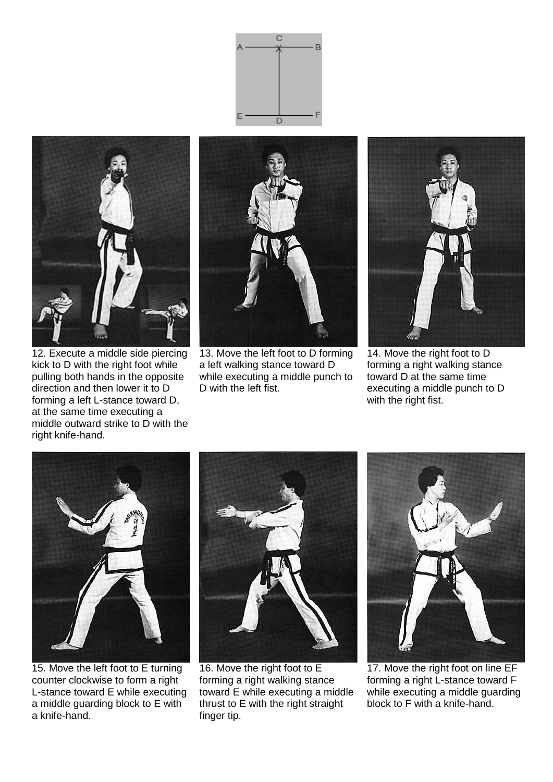



12. Execute a middle side piercing kick to D with the right foot while pulling both hands in the opposite direction and then lower it to D forming a left L-stance toward D, at the same time executing a middle outward strike to D with the right knife-hand.

![](_page_2_Picture_3.jpeg)

13. Move the left foot to D forming a left walking stance toward D while executing a middle punch to D with the left fist.

![](_page_2_Picture_5.jpeg)

14. Move the right foot to D forming a right walking stance toward D at the same time executing a middle punch to D with the right fist.

![](_page_2_Picture_7.jpeg)

15. Move the left foot to E turning counter clockwise to form a right L-stance toward E while executing a middle guarding block to E with a knife-hand.

![](_page_2_Picture_9.jpeg)

16. Move the right foot to E forming a right walking stance toward E while executing a middle thrust to E with the right straight finger tip.

![](_page_2_Picture_11.jpeg)

17. Move the right foot on line EF forming a right L-stance toward F while executing a middle guarding block to F with a knife-hand.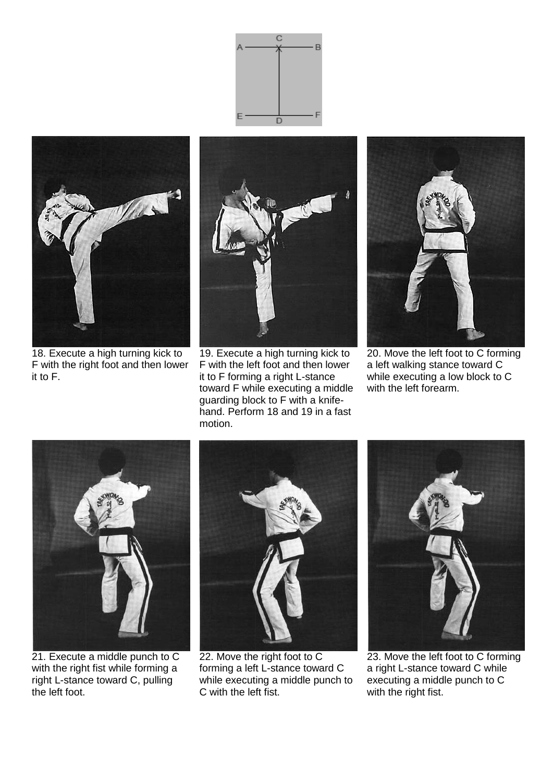![](_page_3_Picture_0.jpeg)

![](_page_3_Picture_1.jpeg)

18. Execute a high turning kick to F with the right foot and then lower it to F.

![](_page_3_Picture_3.jpeg)

19. Execute a high turning kick to F with the left foot and then lower it to F forming a right L-stance toward F while executing a middle guarding block to F with a knifehand. Perform 18 and 19 in a fast motion.

![](_page_3_Picture_5.jpeg)

20. Move the left foot to C forming a left walking stance toward C while executing a low block to C with the left forearm.

![](_page_3_Picture_7.jpeg)

21. Execute a middle punch to C with the right fist while forming a right L-stance toward C, pulling the left foot.

![](_page_3_Picture_9.jpeg)

22. Move the right foot to C forming a left L-stance toward C while executing a middle punch to C with the left fist.

![](_page_3_Picture_11.jpeg)

23. Move the left foot to C forming a right L-stance toward C while executing a middle punch to C with the right fist.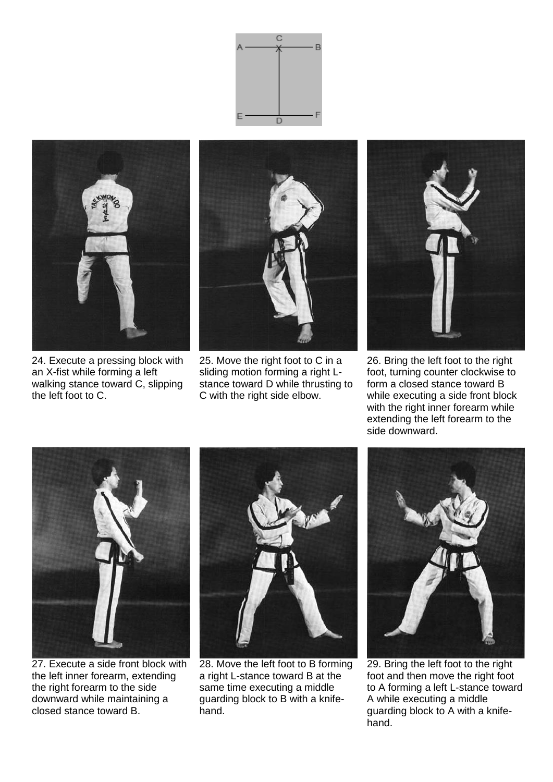![](_page_4_Picture_0.jpeg)

![](_page_4_Picture_1.jpeg)

24. Execute a pressing block with an X-fist while forming a left walking stance toward C, slipping the left foot to C.

![](_page_4_Picture_3.jpeg)

25. Move the right foot to C in a sliding motion forming a right Lstance toward D while thrusting to C with the right side elbow.

![](_page_4_Picture_5.jpeg)

26. Bring the left foot to the right foot, turning counter clockwise to form a closed stance toward B while executing a side front block with the right inner forearm while extending the left forearm to the side downward.

![](_page_4_Picture_7.jpeg)

27. Execute a side front block with the left inner forearm, extending the right forearm to the side downward while maintaining a closed stance toward B.

![](_page_4_Picture_9.jpeg)

28. Move the left foot to B forming a right L-stance toward B at the same time executing a middle guarding block to B with a knifehand.

![](_page_4_Picture_11.jpeg)

29. Bring the left foot to the right foot and then move the right foot to A forming a left L-stance toward A while executing a middle guarding block to A with a knifehand.